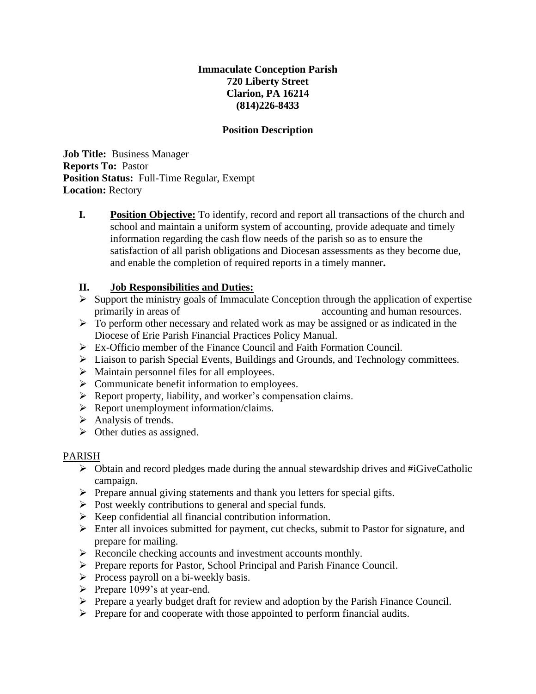# **Immaculate Conception Parish 720 Liberty Street Clarion, PA 16214 (814)226-8433**

## **Position Description**

**Job Title:** Business Manager **Reports To:** Pastor **Position Status:** Full-Time Regular, Exempt **Location:** Rectory

**I. Position Objective:** To identify, record and report all transactions of the church and school and maintain a uniform system of accounting, provide adequate and timely information regarding the cash flow needs of the parish so as to ensure the satisfaction of all parish obligations and Diocesan assessments as they become due, and enable the completion of required reports in a timely manner**.**

# **II. Job Responsibilities and Duties:**

- ➢ Support the ministry goals of Immaculate Conception through the application of expertise primarily in areas of accounting and human resources.
- $\triangleright$  To perform other necessary and related work as may be assigned or as indicated in the Diocese of Erie Parish Financial Practices Policy Manual.
- ➢ Ex-Officio member of the Finance Council and Faith Formation Council.
- ➢ Liaison to parish Special Events, Buildings and Grounds, and Technology committees.
- ➢ Maintain personnel files for all employees.
- ➢ Communicate benefit information to employees.
- ➢ Report property, liability, and worker's compensation claims.
- ➢ Report unemployment information/claims.
- $\triangleright$  Analysis of trends.
- $\triangleright$  Other duties as assigned.

#### PARISH

- ➢ Obtain and record pledges made during the annual stewardship drives and #iGiveCatholic campaign.
- ➢ Prepare annual giving statements and thank you letters for special gifts.
- ➢ Post weekly contributions to general and special funds.
- ➢ Keep confidential all financial contribution information.
- ➢ Enter all invoices submitted for payment, cut checks, submit to Pastor for signature, and prepare for mailing.
- ➢ Reconcile checking accounts and investment accounts monthly.
- ➢ Prepare reports for Pastor, School Principal and Parish Finance Council.
- ➢ Process payroll on a bi-weekly basis.
- ➢ Prepare 1099's at year-end.
- ➢ Prepare a yearly budget draft for review and adoption by the Parish Finance Council.
- ➢ Prepare for and cooperate with those appointed to perform financial audits.